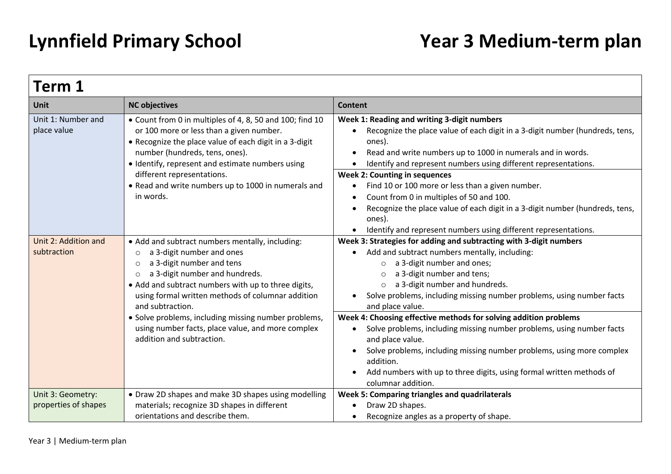| Term 1                                    |                                                                                                                                                                                                                                                                                                                                                                                                                                                        |                                                                                                                                                                                                                                                                                                                                                                                                                                                                                                                                                                                           |
|-------------------------------------------|--------------------------------------------------------------------------------------------------------------------------------------------------------------------------------------------------------------------------------------------------------------------------------------------------------------------------------------------------------------------------------------------------------------------------------------------------------|-------------------------------------------------------------------------------------------------------------------------------------------------------------------------------------------------------------------------------------------------------------------------------------------------------------------------------------------------------------------------------------------------------------------------------------------------------------------------------------------------------------------------------------------------------------------------------------------|
| <b>Unit</b>                               | <b>NC objectives</b>                                                                                                                                                                                                                                                                                                                                                                                                                                   | Content                                                                                                                                                                                                                                                                                                                                                                                                                                                                                                                                                                                   |
| Unit 1: Number and<br>place value         | • Count from 0 in multiples of 4, 8, 50 and 100; find 10<br>or 100 more or less than a given number.<br>• Recognize the place value of each digit in a 3-digit<br>number (hundreds, tens, ones).<br>• Identify, represent and estimate numbers using                                                                                                                                                                                                   | Week 1: Reading and writing 3-digit numbers<br>Recognize the place value of each digit in a 3-digit number (hundreds, tens,<br>ones).<br>Read and write numbers up to 1000 in numerals and in words.<br>Identify and represent numbers using different representations.                                                                                                                                                                                                                                                                                                                   |
|                                           | different representations.<br>• Read and write numbers up to 1000 in numerals and<br>in words.                                                                                                                                                                                                                                                                                                                                                         | <b>Week 2: Counting in sequences</b><br>Find 10 or 100 more or less than a given number.<br>Count from 0 in multiples of 50 and 100.<br>Recognize the place value of each digit in a 3-digit number (hundreds, tens,<br>ones).<br>Identify and represent numbers using different representations.                                                                                                                                                                                                                                                                                         |
| Unit 2: Addition and<br>subtraction       | • Add and subtract numbers mentally, including:<br>a 3-digit number and ones<br>$\circ$<br>a 3-digit number and tens<br>$\circ$<br>a 3-digit number and hundreds.<br>$\circ$<br>• Add and subtract numbers with up to three digits,<br>using formal written methods of columnar addition<br>and subtraction.<br>· Solve problems, including missing number problems,<br>using number facts, place value, and more complex<br>addition and subtraction. | Week 3: Strategies for adding and subtracting with 3-digit numbers<br>Add and subtract numbers mentally, including:<br>a 3-digit number and ones;<br>$\circ$<br>a 3-digit number and tens;<br>$\circ$<br>a 3-digit number and hundreds.<br>$\circ$<br>Solve problems, including missing number problems, using number facts<br>and place value.<br>Week 4: Choosing effective methods for solving addition problems<br>Solve problems, including missing number problems, using number facts<br>and place value.<br>Solve problems, including missing number problems, using more complex |
|                                           |                                                                                                                                                                                                                                                                                                                                                                                                                                                        | addition.<br>Add numbers with up to three digits, using formal written methods of<br>columnar addition.                                                                                                                                                                                                                                                                                                                                                                                                                                                                                   |
| Unit 3: Geometry:<br>properties of shapes | • Draw 2D shapes and make 3D shapes using modelling<br>materials; recognize 3D shapes in different<br>orientations and describe them.                                                                                                                                                                                                                                                                                                                  | Week 5: Comparing triangles and quadrilaterals<br>Draw 2D shapes.<br>Recognize angles as a property of shape.                                                                                                                                                                                                                                                                                                                                                                                                                                                                             |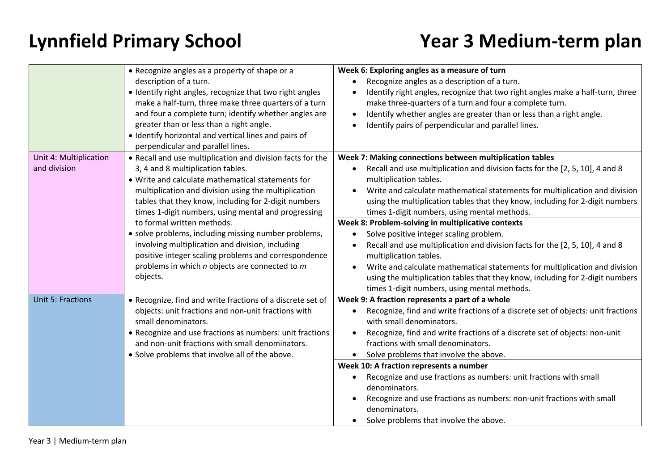|                                        | • Recognize angles as a property of shape or a<br>description of a turn.<br>• Identify right angles, recognize that two right angles<br>make a half-turn, three make three quarters of a turn<br>and four a complete turn; identify whether angles are<br>greater than or less than a right angle.<br>• Identify horizontal and vertical lines and pairs of<br>perpendicular and parallel lines.                                                                                                                              | Week 6: Exploring angles as a measure of turn<br>Recognize angles as a description of a turn.<br>Identify right angles, recognize that two right angles make a half-turn, three<br>make three-quarters of a turn and four a complete turn.<br>Identify whether angles are greater than or less than a right angle.<br>Identify pairs of perpendicular and parallel lines.                                                                                                                                                                                                                     |
|----------------------------------------|-------------------------------------------------------------------------------------------------------------------------------------------------------------------------------------------------------------------------------------------------------------------------------------------------------------------------------------------------------------------------------------------------------------------------------------------------------------------------------------------------------------------------------|-----------------------------------------------------------------------------------------------------------------------------------------------------------------------------------------------------------------------------------------------------------------------------------------------------------------------------------------------------------------------------------------------------------------------------------------------------------------------------------------------------------------------------------------------------------------------------------------------|
| Unit 4: Multiplication<br>and division | • Recall and use multiplication and division facts for the<br>3, 4 and 8 multiplication tables.<br>• Write and calculate mathematical statements for<br>multiplication and division using the multiplication<br>tables that they know, including for 2-digit numbers<br>times 1-digit numbers, using mental and progressing<br>to formal written methods.<br>· solve problems, including missing number problems,<br>involving multiplication and division, including<br>positive integer scaling problems and correspondence | Week 7: Making connections between multiplication tables<br>Recall and use multiplication and division facts for the [2, 5, 10], 4 and 8<br>multiplication tables.<br>Write and calculate mathematical statements for multiplication and division<br>using the multiplication tables that they know, including for 2-digit numbers<br>times 1-digit numbers, using mental methods.<br>Week 8: Problem-solving in multiplicative contexts<br>Solve positive integer scaling problem.<br>Recall and use multiplication and division facts for the [2, 5, 10], 4 and 8<br>multiplication tables. |
|                                        | problems in which n objects are connected to m<br>objects.                                                                                                                                                                                                                                                                                                                                                                                                                                                                    | Write and calculate mathematical statements for multiplication and division<br>using the multiplication tables that they know, including for 2-digit numbers<br>times 1-digit numbers, using mental methods.                                                                                                                                                                                                                                                                                                                                                                                  |
| <b>Unit 5: Fractions</b>               | • Recognize, find and write fractions of a discrete set of<br>objects: unit fractions and non-unit fractions with<br>small denominators.<br>• Recognize and use fractions as numbers: unit fractions<br>and non-unit fractions with small denominators.<br>• Solve problems that involve all of the above.                                                                                                                                                                                                                    | Week 9: A fraction represents a part of a whole<br>Recognize, find and write fractions of a discrete set of objects: unit fractions<br>with small denominators.<br>Recognize, find and write fractions of a discrete set of objects: non-unit<br>fractions with small denominators.<br>Solve problems that involve the above.<br>Week 10: A fraction represents a number                                                                                                                                                                                                                      |
|                                        |                                                                                                                                                                                                                                                                                                                                                                                                                                                                                                                               | Recognize and use fractions as numbers: unit fractions with small<br>denominators.<br>Recognize and use fractions as numbers: non-unit fractions with small<br>denominators.<br>Solve problems that involve the above.                                                                                                                                                                                                                                                                                                                                                                        |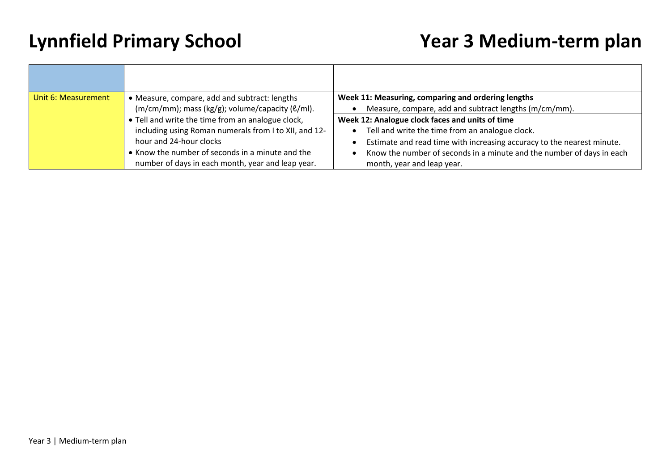| Unit 6: Measurement | • Measure, compare, add and subtract: lengths<br>$(m/cm/mm)$ ; mass (kg/g); volume/capacity ( $\ell$ /ml).                                                                                                                                     | Week 11: Measuring, comparing and ordering lengths<br>Measure, compare, add and subtract lengths (m/cm/mm).                                                                                                                                                                         |
|---------------------|------------------------------------------------------------------------------------------------------------------------------------------------------------------------------------------------------------------------------------------------|-------------------------------------------------------------------------------------------------------------------------------------------------------------------------------------------------------------------------------------------------------------------------------------|
|                     | • Tell and write the time from an analogue clock,<br>including using Roman numerals from I to XII, and 12-<br>hour and 24-hour clocks<br>• Know the number of seconds in a minute and the<br>number of days in each month, year and leap year. | Week 12: Analogue clock faces and units of time<br>Tell and write the time from an analogue clock.<br>Estimate and read time with increasing accuracy to the nearest minute.<br>Know the number of seconds in a minute and the number of days in each<br>month, year and leap year. |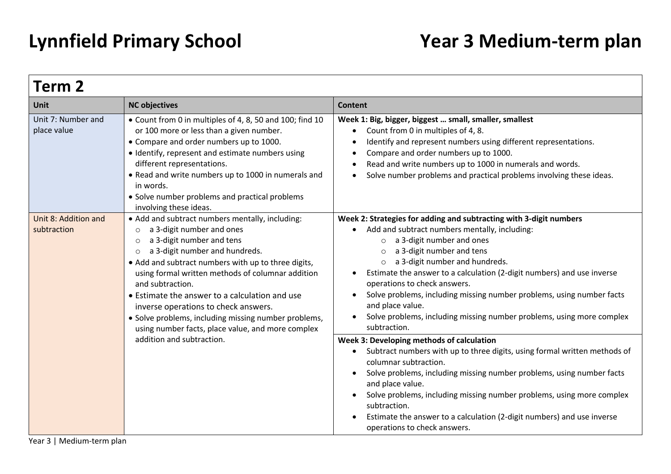| Term 2                                                                                                                                                                                                                                                                                                                                                                                                                                                                                                                                                                                  |                                                                                                                                                                                                                                                                                                                                                                                                                                                                                                                                                               |                                                                                                                                                                                                                                                                                                                                                                                                                                                              |
|-----------------------------------------------------------------------------------------------------------------------------------------------------------------------------------------------------------------------------------------------------------------------------------------------------------------------------------------------------------------------------------------------------------------------------------------------------------------------------------------------------------------------------------------------------------------------------------------|---------------------------------------------------------------------------------------------------------------------------------------------------------------------------------------------------------------------------------------------------------------------------------------------------------------------------------------------------------------------------------------------------------------------------------------------------------------------------------------------------------------------------------------------------------------|--------------------------------------------------------------------------------------------------------------------------------------------------------------------------------------------------------------------------------------------------------------------------------------------------------------------------------------------------------------------------------------------------------------------------------------------------------------|
| <b>Unit</b>                                                                                                                                                                                                                                                                                                                                                                                                                                                                                                                                                                             | <b>NC objectives</b>                                                                                                                                                                                                                                                                                                                                                                                                                                                                                                                                          | Content                                                                                                                                                                                                                                                                                                                                                                                                                                                      |
| Unit 7: Number and<br>place value                                                                                                                                                                                                                                                                                                                                                                                                                                                                                                                                                       | • Count from 0 in multiples of 4, 8, 50 and 100; find 10<br>or 100 more or less than a given number.<br>• Compare and order numbers up to 1000.<br>• Identify, represent and estimate numbers using<br>different representations.<br>• Read and write numbers up to 1000 in numerals and<br>in words.<br>• Solve number problems and practical problems<br>involving these ideas.                                                                                                                                                                             | Week 1: Big, bigger, biggest  small, smaller, smallest<br>Count from 0 in multiples of 4, 8.<br>$\bullet$<br>Identify and represent numbers using different representations.<br>$\bullet$<br>Compare and order numbers up to 1000.<br>$\bullet$<br>Read and write numbers up to 1000 in numerals and words.<br>Solve number problems and practical problems involving these ideas.                                                                           |
| Unit 8: Addition and<br>• Add and subtract numbers mentally, including:<br>subtraction<br>a 3-digit number and ones<br>$\circ$<br>a 3-digit number and tens<br>$\circ$<br>a 3-digit number and hundreds.<br>$\circ$<br>• Add and subtract numbers with up to three digits,<br>using formal written methods of columnar addition<br>and subtraction.<br>• Estimate the answer to a calculation and use<br>inverse operations to check answers.<br>• Solve problems, including missing number problems,<br>using number facts, place value, and more complex<br>addition and subtraction. | Week 2: Strategies for adding and subtracting with 3-digit numbers<br>Add and subtract numbers mentally, including:<br>a 3-digit number and ones<br>$\circ$<br>a 3-digit number and tens<br>$\circ$<br>a 3-digit number and hundreds.<br>$\circ$<br>Estimate the answer to a calculation (2-digit numbers) and use inverse<br>$\bullet$<br>operations to check answers.<br>Solve problems, including missing number problems, using number facts<br>and place value.<br>Solve problems, including missing number problems, using more complex<br>subtraction. |                                                                                                                                                                                                                                                                                                                                                                                                                                                              |
|                                                                                                                                                                                                                                                                                                                                                                                                                                                                                                                                                                                         |                                                                                                                                                                                                                                                                                                                                                                                                                                                                                                                                                               | Week 3: Developing methods of calculation<br>Subtract numbers with up to three digits, using formal written methods of<br>columnar subtraction.<br>Solve problems, including missing number problems, using number facts<br>$\bullet$<br>and place value.<br>Solve problems, including missing number problems, using more complex<br>subtraction.<br>Estimate the answer to a calculation (2-digit numbers) and use inverse<br>operations to check answers. |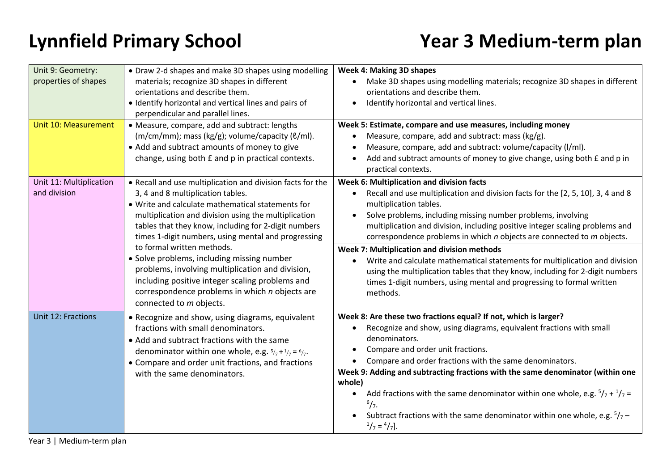| Unit 9: Geometry:<br>properties of shapes<br>Unit 10: Measurement | • Draw 2-d shapes and make 3D shapes using modelling<br>materials; recognize 3D shapes in different<br>orientations and describe them.<br>• Identify horizontal and vertical lines and pairs of<br>perpendicular and parallel lines.<br>• Measure, compare, add and subtract: lengths                                       | <b>Week 4: Making 3D shapes</b><br>Make 3D shapes using modelling materials; recognize 3D shapes in different<br>orientations and describe them.<br>Identify horizontal and vertical lines.<br>Week 5: Estimate, compare and use measures, including money                                                                                                                           |
|-------------------------------------------------------------------|-----------------------------------------------------------------------------------------------------------------------------------------------------------------------------------------------------------------------------------------------------------------------------------------------------------------------------|--------------------------------------------------------------------------------------------------------------------------------------------------------------------------------------------------------------------------------------------------------------------------------------------------------------------------------------------------------------------------------------|
|                                                                   | $(m/cm/mm)$ ; mass (kg/g); volume/capacity ( $\ell$ /ml).<br>• Add and subtract amounts of money to give<br>change, using both £ and p in practical contexts.                                                                                                                                                               | Measure, compare, add and subtract: mass (kg/g).<br>Measure, compare, add and subtract: volume/capacity (I/ml).<br>Add and subtract amounts of money to give change, using both £ and p in<br>practical contexts.                                                                                                                                                                    |
| Unit 11: Multiplication<br>and division                           | • Recall and use multiplication and division facts for the<br>3, 4 and 8 multiplication tables.<br>• Write and calculate mathematical statements for<br>multiplication and division using the multiplication<br>tables that they know, including for 2-digit numbers<br>times 1-digit numbers, using mental and progressing | Week 6: Multiplication and division facts<br>Recall and use multiplication and division facts for the [2, 5, 10], 3, 4 and 8<br>multiplication tables.<br>Solve problems, including missing number problems, involving<br>multiplication and division, including positive integer scaling problems and<br>correspondence problems in which $n$ objects are connected to $m$ objects. |
|                                                                   | to formal written methods.<br>· Solve problems, including missing number<br>problems, involving multiplication and division,<br>including positive integer scaling problems and<br>correspondence problems in which n objects are<br>connected to m objects.                                                                | Week 7: Multiplication and division methods<br>Write and calculate mathematical statements for multiplication and division<br>using the multiplication tables that they know, including for 2-digit numbers<br>times 1-digit numbers, using mental and progressing to formal written<br>methods.                                                                                     |
| <b>Unit 12: Fractions</b>                                         | • Recognize and show, using diagrams, equivalent<br>fractions with small denominators.<br>• Add and subtract fractions with the same<br>denominator within one whole, e.g. $5/7 + 1/7 = 6/7$ .<br>• Compare and order unit fractions, and fractions                                                                         | Week 8: Are these two fractions equal? If not, which is larger?<br>Recognize and show, using diagrams, equivalent fractions with small<br>denominators.<br>Compare and order unit fractions.<br>Compare and order fractions with the same denominators.                                                                                                                              |
|                                                                   | with the same denominators.                                                                                                                                                                                                                                                                                                 | Week 9: Adding and subtracting fractions with the same denominator (within one<br>whole)<br>Add fractions with the same denominator within one whole, e.g. $5/7 + 1/7 =$<br>$\bullet$<br>$^{6}/_{7}$ .<br>Subtract fractions with the same denominator within one whole, e.g. $5/7$ –<br>$\frac{1}{7} = \frac{4}{7}$ .                                                               |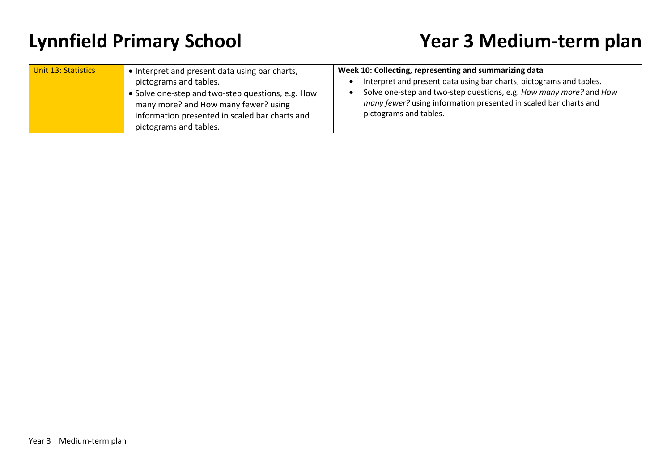| Unit 13: Statistics<br>• Interpret and present data using bar charts,<br>pictograms and tables.<br>Solve one-step and two-step questions, e.g. How<br>many more? and How many fewer? using<br>information presented in scaled bar charts and<br>pictograms and tables. |
|------------------------------------------------------------------------------------------------------------------------------------------------------------------------------------------------------------------------------------------------------------------------|
|------------------------------------------------------------------------------------------------------------------------------------------------------------------------------------------------------------------------------------------------------------------------|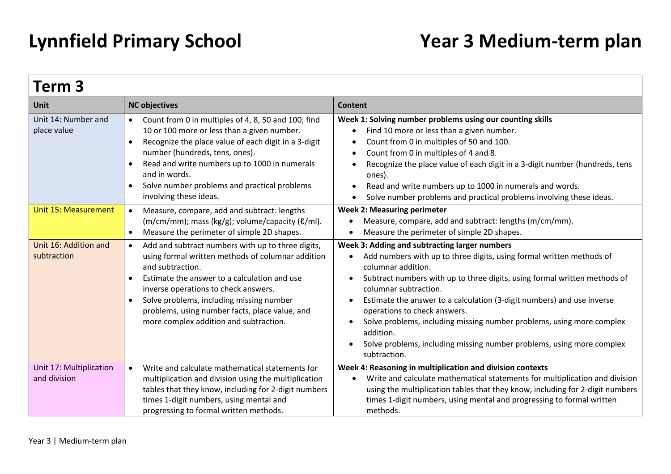| Term 3                                  |                                                                                                                                                                                                                                                                                                                                                                                                   |                                                                                                                                                                                                                                                                                                                                                                                                                                                                                                                                                         |
|-----------------------------------------|---------------------------------------------------------------------------------------------------------------------------------------------------------------------------------------------------------------------------------------------------------------------------------------------------------------------------------------------------------------------------------------------------|---------------------------------------------------------------------------------------------------------------------------------------------------------------------------------------------------------------------------------------------------------------------------------------------------------------------------------------------------------------------------------------------------------------------------------------------------------------------------------------------------------------------------------------------------------|
| <b>Unit</b>                             | <b>NC objectives</b>                                                                                                                                                                                                                                                                                                                                                                              | <b>Content</b>                                                                                                                                                                                                                                                                                                                                                                                                                                                                                                                                          |
| Unit 14: Number and<br>place value      | Count from 0 in multiples of 4, 8, 50 and 100; find<br>10 or 100 more or less than a given number.<br>Recognize the place value of each digit in a 3-digit<br>$\bullet$<br>number (hundreds, tens, ones).<br>Read and write numbers up to 1000 in numerals<br>$\bullet$<br>and in words.<br>Solve number problems and practical problems<br>involving these ideas.                                | Week 1: Solving number problems using our counting skills<br>Find 10 more or less than a given number.<br>Count from 0 in multiples of 50 and 100.<br>$\bullet$<br>Count from 0 in multiples of 4 and 8.<br>$\bullet$<br>Recognize the place value of each digit in a 3-digit number (hundreds, tens<br>ones).<br>Read and write numbers up to 1000 in numerals and words.<br>$\bullet$<br>Solve number problems and practical problems involving these ideas.                                                                                          |
| <b>Unit 15: Measurement</b>             | Measure, compare, add and subtract: lengths<br>$\bullet$<br>(m/cm/mm); mass (kg/g); volume/capacity (ℓ/ml).<br>Measure the perimeter of simple 2D shapes.<br>$\bullet$                                                                                                                                                                                                                            | <b>Week 2: Measuring perimeter</b><br>Measure, compare, add and subtract: lengths (m/cm/mm).<br>Measure the perimeter of simple 2D shapes.<br>$\bullet$                                                                                                                                                                                                                                                                                                                                                                                                 |
| Unit 16: Addition and<br>subtraction    | Add and subtract numbers with up to three digits,<br>$\bullet$<br>using formal written methods of columnar addition<br>and subtraction.<br>Estimate the answer to a calculation and use<br>$\bullet$<br>inverse operations to check answers.<br>Solve problems, including missing number<br>$\bullet$<br>problems, using number facts, place value, and<br>more complex addition and subtraction. | Week 3: Adding and subtracting larger numbers<br>Add numbers with up to three digits, using formal written methods of<br>$\bullet$<br>columnar addition.<br>Subtract numbers with up to three digits, using formal written methods of<br>columnar subtraction.<br>Estimate the answer to a calculation (3-digit numbers) and use inverse<br>operations to check answers.<br>Solve problems, including missing number problems, using more complex<br>addition.<br>Solve problems, including missing number problems, using more complex<br>subtraction. |
| Unit 17: Multiplication<br>and division | Write and calculate mathematical statements for<br>$\bullet$<br>multiplication and division using the multiplication<br>tables that they know, including for 2-digit numbers<br>times 1-digit numbers, using mental and<br>progressing to formal written methods.                                                                                                                                 | Week 4: Reasoning in multiplication and division contexts<br>Write and calculate mathematical statements for multiplication and division<br>$\bullet$<br>using the multiplication tables that they know, including for 2-digit numbers<br>times 1-digit numbers, using mental and progressing to formal written<br>methods.                                                                                                                                                                                                                             |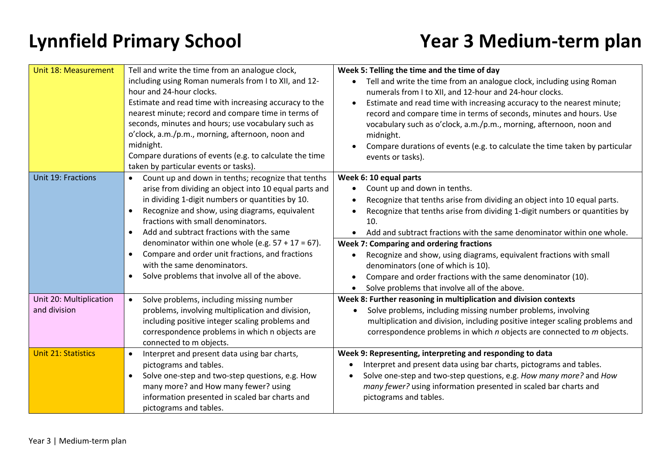| <b>Unit 18: Measurement</b>             | Tell and write the time from an analogue clock,<br>including using Roman numerals from I to XII, and 12-<br>hour and 24-hour clocks.<br>Estimate and read time with increasing accuracy to the<br>nearest minute; record and compare time in terms of<br>seconds, minutes and hours; use vocabulary such as<br>o'clock, a.m./p.m., morning, afternoon, noon and<br>midnight.<br>Compare durations of events (e.g. to calculate the time<br>taken by particular events or tasks).                                                                   | Week 5: Telling the time and the time of day<br>Tell and write the time from an analogue clock, including using Roman<br>numerals from I to XII, and 12-hour and 24-hour clocks.<br>Estimate and read time with increasing accuracy to the nearest minute;<br>record and compare time in terms of seconds, minutes and hours. Use<br>vocabulary such as o'clock, a.m./p.m., morning, afternoon, noon and<br>midnight.<br>Compare durations of events (e.g. to calculate the time taken by particular<br>events or tasks).                                                  |
|-----------------------------------------|----------------------------------------------------------------------------------------------------------------------------------------------------------------------------------------------------------------------------------------------------------------------------------------------------------------------------------------------------------------------------------------------------------------------------------------------------------------------------------------------------------------------------------------------------|----------------------------------------------------------------------------------------------------------------------------------------------------------------------------------------------------------------------------------------------------------------------------------------------------------------------------------------------------------------------------------------------------------------------------------------------------------------------------------------------------------------------------------------------------------------------------|
| Unit 19: Fractions                      | Count up and down in tenths; recognize that tenths<br>$\bullet$<br>arise from dividing an object into 10 equal parts and<br>in dividing 1-digit numbers or quantities by 10.<br>Recognize and show, using diagrams, equivalent<br>$\bullet$<br>fractions with small denominators.<br>Add and subtract fractions with the same<br>$\bullet$<br>denominator within one whole (e.g. $57 + 17 = 67$ ).<br>Compare and order unit fractions, and fractions<br>$\bullet$<br>with the same denominators.<br>Solve problems that involve all of the above. | Week 6: 10 equal parts<br>Count up and down in tenths.<br>Recognize that tenths arise from dividing an object into 10 equal parts.<br>Recognize that tenths arise from dividing 1-digit numbers or quantities by<br>10.<br>Add and subtract fractions with the same denominator within one whole.<br>Week 7: Comparing and ordering fractions<br>Recognize and show, using diagrams, equivalent fractions with small<br>denominators (one of which is 10).<br>Compare and order fractions with the same denominator (10).<br>Solve problems that involve all of the above. |
| Unit 20: Multiplication<br>and division | Solve problems, including missing number<br>problems, involving multiplication and division,<br>including positive integer scaling problems and<br>correspondence problems in which n objects are<br>connected to m objects.                                                                                                                                                                                                                                                                                                                       | Week 8: Further reasoning in multiplication and division contexts<br>Solve problems, including missing number problems, involving<br>multiplication and division, including positive integer scaling problems and<br>correspondence problems in which n objects are connected to m objects.                                                                                                                                                                                                                                                                                |
| <b>Unit 21: Statistics</b>              | Interpret and present data using bar charts,<br>$\bullet$<br>pictograms and tables.<br>Solve one-step and two-step questions, e.g. How<br>many more? and How many fewer? using<br>information presented in scaled bar charts and<br>pictograms and tables.                                                                                                                                                                                                                                                                                         | Week 9: Representing, interpreting and responding to data<br>Interpret and present data using bar charts, pictograms and tables.<br>Solve one-step and two-step questions, e.g. How many more? and How<br>many fewer? using information presented in scaled bar charts and<br>pictograms and tables.                                                                                                                                                                                                                                                                       |